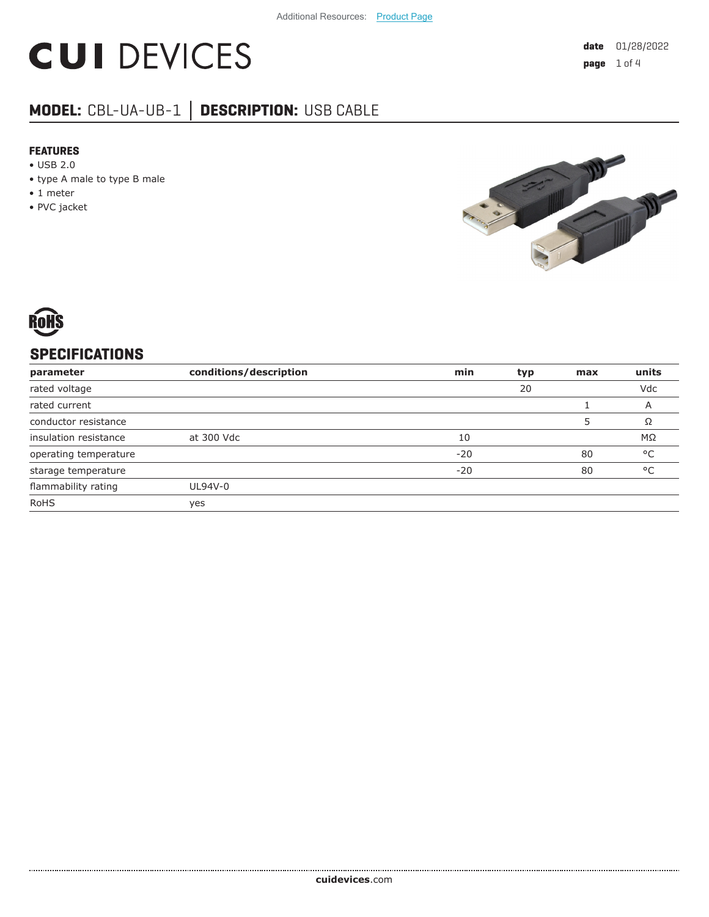# **CUI DEVICES**

# **MODEL:** CBL-UA-UB-1 **│ DESCRIPTION:** USB CABLE

#### **FEATURES**

- USB 2.0
- type A male to type B male
- 1 meter
- PVC jacket





## **SPECIFICATIONS**

| parameter             | conditions/description | min   | typ | max | units        |
|-----------------------|------------------------|-------|-----|-----|--------------|
| rated voltage         |                        |       | 20  |     | Vdc          |
| rated current         |                        |       |     |     | A            |
| conductor resistance  |                        |       |     |     | Ω            |
| insulation resistance | at 300 Vdc             | 10    |     |     | ΜΩ           |
| operating temperature |                        | $-20$ |     | 80  | °C           |
| starage temperature   |                        | $-20$ |     | 80  | $^{\circ}$ C |
| flammability rating   | UL94V-0                |       |     |     |              |
| <b>RoHS</b>           | yes                    |       |     |     |              |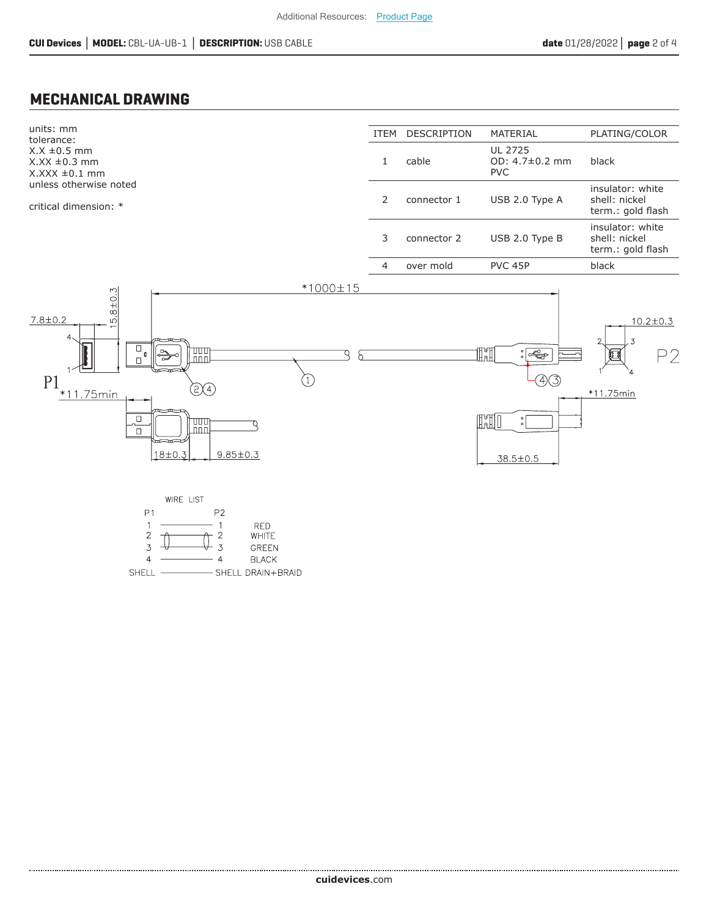#### **MECHANICAL DRAWING**



................................. **cui[devices](https://www.cuidevices.com/track?actionLabel=Datasheet-ClickThrough-HomePage&label=CBL-UA-UB-1.pdf&path=/)**.com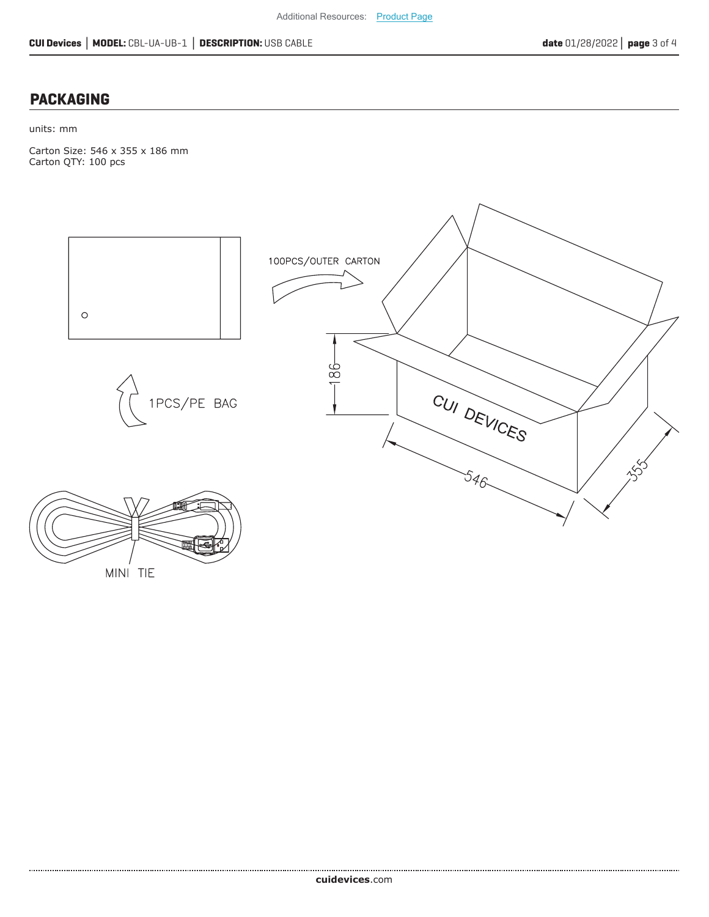### **PACKAGING**

units: mm

Carton Size: 546 x 355 x 186 mm Carton QTY: 100 pcs



MINI TIE